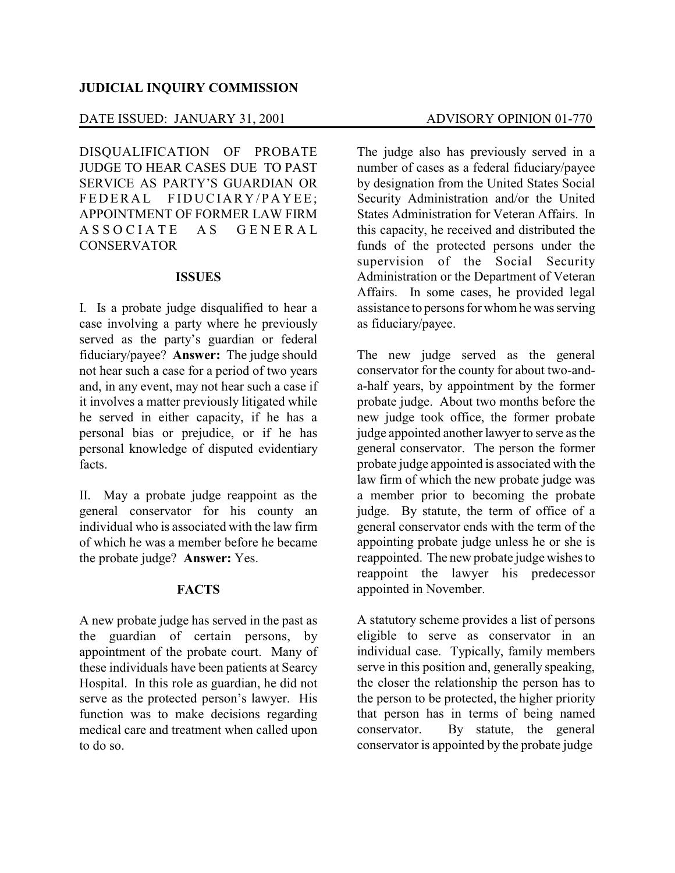### **JUDICIAL INQUIRY COMMISSION**

# DATE ISSUED: JANUARY 31, 2001 ADVISORY OPINION 01-770

DISQUALIFICATION OF PROBATE JUDGE TO HEAR CASES DUE TO PAST SERVICE AS PARTY'S GUARDIAN OR FEDERAL FIDUCIARY/PAYEE; APPOINTMENT OF FORMER LAW FIRM A S S O C I A T E A S G E N E R A L **CONSERVATOR** 

#### **ISSUES**

I. Is a probate judge disqualified to hear a case involving a party where he previously served as the party's guardian or federal fiduciary/payee? **Answer:** The judge should not hear such a case for a period of two years and, in any event, may not hear such a case if it involves a matter previously litigated while he served in either capacity, if he has a personal bias or prejudice, or if he has personal knowledge of disputed evidentiary facts.

II. May a probate judge reappoint as the general conservator for his county an individual who is associated with the law firm of which he was a member before he became the probate judge? **Answer:** Yes.

## **FACTS**

A new probate judge has served in the past as the guardian of certain persons, by appointment of the probate court. Many of these individuals have been patients at Searcy Hospital. In this role as guardian, he did not serve as the protected person's lawyer. His function was to make decisions regarding medical care and treatment when called upon to do so.

The judge also has previously served in a number of cases as a federal fiduciary/payee by designation from the United States Social Security Administration and/or the United States Administration for Veteran Affairs. In this capacity, he received and distributed the funds of the protected persons under the supervision of the Social Security Administration or the Department of Veteran Affairs. In some cases, he provided legal assistance to persons for whom he was serving as fiduciary/payee.

The new judge served as the general conservator for the county for about two-anda-half years, by appointment by the former probate judge. About two months before the new judge took office, the former probate judge appointed another lawyer to serve as the general conservator. The person the former probate judge appointed is associated with the law firm of which the new probate judge was a member prior to becoming the probate judge. By statute, the term of office of a general conservator ends with the term of the appointing probate judge unless he or she is reappointed. The new probate judge wishes to reappoint the lawyer his predecessor appointed in November.

A statutory scheme provides a list of persons eligible to serve as conservator in an individual case. Typically, family members serve in this position and, generally speaking, the closer the relationship the person has to the person to be protected, the higher priority that person has in terms of being named conservator. By statute, the general conservator is appointed by the probate judge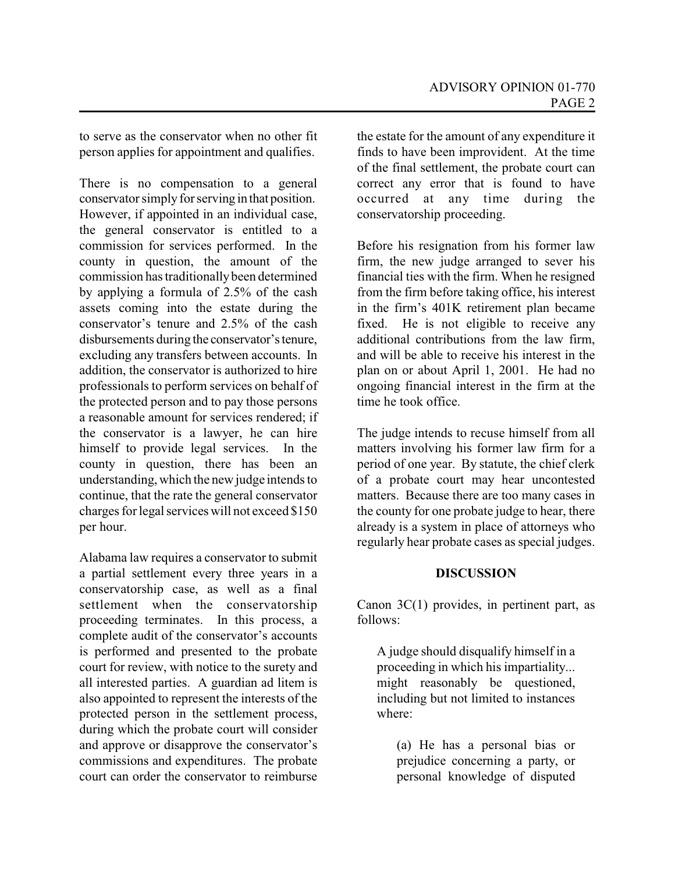to serve as the conservator when no other fit person applies for appointment and qualifies.

There is no compensation to a general conservator simply for serving in that position. However, if appointed in an individual case, the general conservator is entitled to a commission for services performed. In the county in question, the amount of the commission has traditionallybeen determined by applying a formula of 2.5% of the cash assets coming into the estate during the conservator's tenure and 2.5% of the cash disbursements during the conservator'stenure, excluding any transfers between accounts. In addition, the conservator is authorized to hire professionals to perform services on behalf of the protected person and to pay those persons a reasonable amount for services rendered; if the conservator is a lawyer, he can hire himself to provide legal services. In the county in question, there has been an understanding, which the new judge intends to continue, that the rate the general conservator charges for legal services will not exceed \$150 per hour.

Alabama law requires a conservator to submit a partial settlement every three years in a conservatorship case, as well as a final settlement when the conservatorship proceeding terminates. In this process, a complete audit of the conservator's accounts is performed and presented to the probate court for review, with notice to the surety and all interested parties. A guardian ad litem is also appointed to represent the interests of the protected person in the settlement process, during which the probate court will consider and approve or disapprove the conservator's commissions and expenditures. The probate court can order the conservator to reimburse

the estate for the amount of any expenditure it finds to have been improvident. At the time of the final settlement, the probate court can correct any error that is found to have occurred at any time during the conservatorship proceeding.

Before his resignation from his former law firm, the new judge arranged to sever his financial ties with the firm. When he resigned from the firm before taking office, his interest in the firm's 401K retirement plan became fixed. He is not eligible to receive any additional contributions from the law firm, and will be able to receive his interest in the plan on or about April 1, 2001. He had no ongoing financial interest in the firm at the time he took office.

The judge intends to recuse himself from all matters involving his former law firm for a period of one year. By statute, the chief clerk of a probate court may hear uncontested matters. Because there are too many cases in the county for one probate judge to hear, there already is a system in place of attorneys who regularly hear probate cases as special judges.

## **DISCUSSION**

Canon 3C(1) provides, in pertinent part, as follows:

A judge should disqualify himself in a proceeding in which his impartiality... might reasonably be questioned, including but not limited to instances where:

(a) He has a personal bias or prejudice concerning a party, or personal knowledge of disputed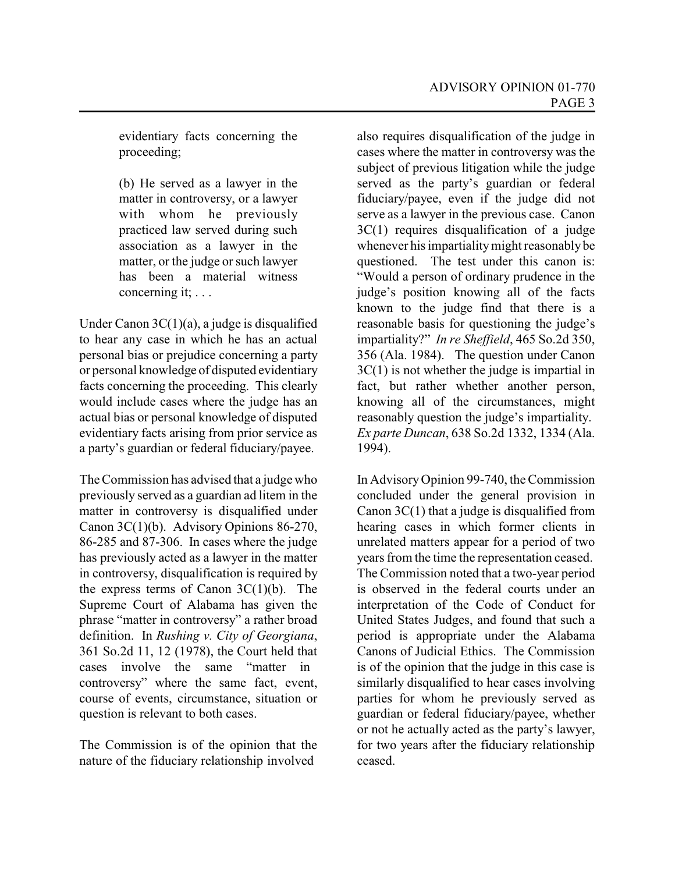evidentiary facts concerning the proceeding;

(b) He served as a lawyer in the matter in controversy, or a lawyer with whom he previously practiced law served during such association as a lawyer in the matter, or the judge or such lawyer has been a material witness concerning it; . . .

Under Canon 3C(1)(a), a judge is disqualified to hear any case in which he has an actual personal bias or prejudice concerning a party or personal knowledge of disputed evidentiary facts concerning the proceeding. This clearly would include cases where the judge has an actual bias or personal knowledge of disputed evidentiary facts arising from prior service as a party's guardian or federal fiduciary/payee.

The Commission has advised that a judge who previously served as a guardian ad litem in the matter in controversy is disqualified under Canon 3C(1)(b). Advisory Opinions 86-270, 86-285 and 87-306. In cases where the judge has previously acted as a lawyer in the matter in controversy, disqualification is required by the express terms of Canon  $3C(1)(b)$ . The Supreme Court of Alabama has given the phrase "matter in controversy" a rather broad definition. In *Rushing v. City of Georgiana*, 361 So.2d 11, 12 (1978), the Court held that cases involve the same "matter in controversy" where the same fact, event, course of events, circumstance, situation or question is relevant to both cases.

The Commission is of the opinion that the nature of the fiduciary relationship involved

also requires disqualification of the judge in cases where the matter in controversy was the subject of previous litigation while the judge served as the party's guardian or federal fiduciary/payee, even if the judge did not serve as a lawyer in the previous case. Canon 3C(1) requires disqualification of a judge whenever his impartiality might reasonably be questioned. The test under this canon is: "Would a person of ordinary prudence in the judge's position knowing all of the facts known to the judge find that there is a reasonable basis for questioning the judge's impartiality?" *In re Sheffield*, 465 So.2d 350, 356 (Ala. 1984). The question under Canon 3C(1) is not whether the judge is impartial in fact, but rather whether another person, knowing all of the circumstances, might reasonably question the judge's impartiality. *Ex parte Duncan*, 638 So.2d 1332, 1334 (Ala. 1994).

In AdvisoryOpinion 99-740, the Commission concluded under the general provision in Canon 3C(1) that a judge is disqualified from hearing cases in which former clients in unrelated matters appear for a period of two years from the time the representation ceased. The Commission noted that a two-year period is observed in the federal courts under an interpretation of the Code of Conduct for United States Judges, and found that such a period is appropriate under the Alabama Canons of Judicial Ethics. The Commission is of the opinion that the judge in this case is similarly disqualified to hear cases involving parties for whom he previously served as guardian or federal fiduciary/payee, whether or not he actually acted as the party's lawyer, for two years after the fiduciary relationship ceased.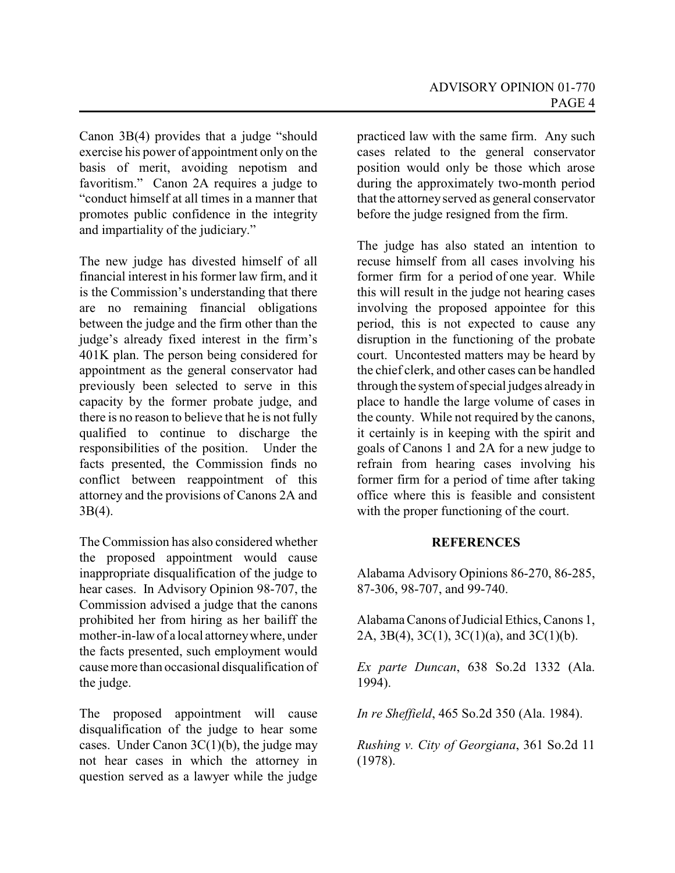Canon 3B(4) provides that a judge "should exercise his power of appointment only on the basis of merit, avoiding nepotism and favoritism." Canon 2A requires a judge to "conduct himself at all times in a manner that promotes public confidence in the integrity and impartiality of the judiciary."

The new judge has divested himself of all financial interest in his former law firm, and it is the Commission's understanding that there are no remaining financial obligations between the judge and the firm other than the judge's already fixed interest in the firm's 401K plan. The person being considered for appointment as the general conservator had previously been selected to serve in this capacity by the former probate judge, and there is no reason to believe that he is not fully qualified to continue to discharge the responsibilities of the position. Under the facts presented, the Commission finds no conflict between reappointment of this attorney and the provisions of Canons 2A and 3B(4).

The Commission has also considered whether the proposed appointment would cause inappropriate disqualification of the judge to hear cases. In Advisory Opinion 98-707, the Commission advised a judge that the canons prohibited her from hiring as her bailiff the mother-in-law of a local attorneywhere, under the facts presented, such employment would causemore than occasional disqualification of the judge.

The proposed appointment will cause disqualification of the judge to hear some cases. Under Canon  $3C(1)(b)$ , the judge may not hear cases in which the attorney in question served as a lawyer while the judge

practiced law with the same firm. Any such cases related to the general conservator position would only be those which arose during the approximately two-month period that the attorney served as general conservator before the judge resigned from the firm.

The judge has also stated an intention to recuse himself from all cases involving his former firm for a period of one year. While this will result in the judge not hearing cases involving the proposed appointee for this period, this is not expected to cause any disruption in the functioning of the probate court. Uncontested matters may be heard by the chief clerk, and other cases can be handled through the system of special judges alreadyin place to handle the large volume of cases in the county. While not required by the canons, it certainly is in keeping with the spirit and goals of Canons 1 and 2A for a new judge to refrain from hearing cases involving his former firm for a period of time after taking office where this is feasible and consistent with the proper functioning of the court.

#### **REFERENCES**

Alabama Advisory Opinions 86-270, 86-285, 87-306, 98-707, and 99-740.

AlabamaCanons of Judicial Ethics, Canons 1, 2A,  $3B(4)$ ,  $3C(1)$ ,  $3C(1)(a)$ , and  $3C(1)(b)$ .

*Ex parte Duncan*, 638 So.2d 1332 (Ala. 1994).

*In re Sheffield*, 465 So.2d 350 (Ala. 1984).

*Rushing v. City of Georgiana*, 361 So.2d 11 (1978).